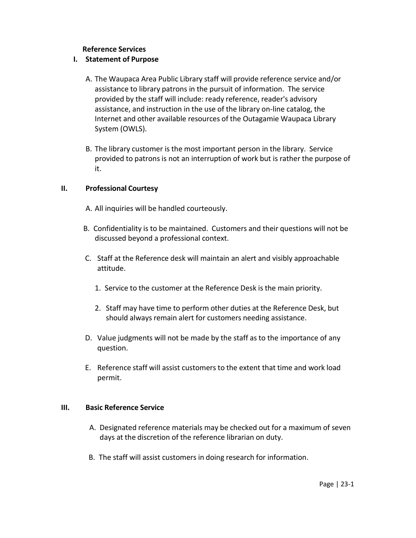### **Reference Services**

## **I. Statement of Purpose**

- A. The Waupaca Area Public Library staff will provide reference service and/or assistance to library patrons in the pursuit of information. The service provided by the staff will include: ready reference, reader's advisory assistance, and instruction in the use of the library on-line catalog, the Internet and other available resources of the Outagamie Waupaca Library System (OWLS).
- B. The library customer is the most important person in the library. Service provided to patrons is not an interruption of work but is rather the purpose of it.

## **II. Professional Courtesy**

- A. All inquiries will be handled courteously.
- B. Confidentiality is to be maintained. Customers and their questions will not be discussed beyond a professional context.
- C. Staff at the Reference desk will maintain an alert and visibly approachable attitude.
	- 1. Service to the customer at the Reference Desk is the main priority.
	- 2. Staff may have time to perform other duties at the Reference Desk, but should always remain alert for customers needing assistance.
- D. Value judgments will not be made by the staff as to the importance of any question.
- E. Reference staff will assist customers to the extent that time and work load permit.

## **III. Basic Reference Service**

- A. Designated reference materials may be checked out for a maximum of seven days at the discretion of the reference librarian on duty.
- B. The staff will assist customers in doing research for information.